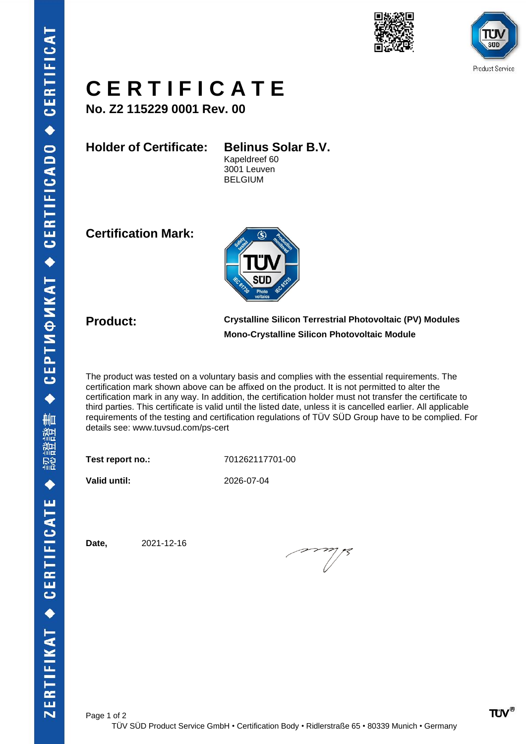





## **C E R T I F I C A T E**

**No. Z2 115229 0001 Rev. 00**

**Holder of Certificate: Belinus Solar B.V.**

Kapeldreef 60 3001 Leuven BELGIUM

**Certification Mark:**



**Product: Crystalline Silicon Terrestrial Photovoltaic (PV) Modules Mono-Crystalline Silicon Photovoltaic Module**

The product was tested on a voluntary basis and complies with the essential requirements. The certification mark shown above can be affixed on the product. It is not permitted to alter the certification mark in any way. In addition, the certification holder must not transfer the certificate to third parties. This certificate is valid until the listed date, unless it is cancelled earlier. All applicable requirements of the testing and certification regulations of TÜV SÜD Group have to be complied. For details see: [www.tuvsud.com/ps-cert](http://www.tuvsud.com/ps-cert)

**Test report no.:** 701262117701-00

**Valid until:** 2026-07-04

**Date,** 2021-12-16